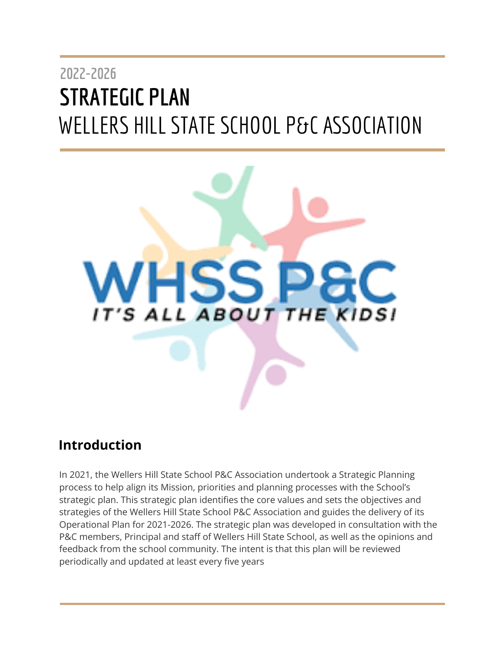# **2022-2026 STRATEGIC PLAN** WELLERS HILLSTATESCHOOL P&C ASSOCIATION



# <span id="page-0-0"></span>**Introduction**

In 2021, the Wellers Hill State School P&C Association undertook a Strategic Planning process to help align its Mission, priorities and planning processes with the School's strategic plan. This strategic plan identifies the core values and sets the objectives and strategies of the Wellers Hill State School P&C Association and guides the delivery of its Operational Plan for 2021-2026. The strategic plan was developed in consultation with the P&C members, Principal and staff of Wellers Hill State School, as well as the opinions and feedback from the school community. The intent is that this plan will be reviewed periodically and updated at least every five years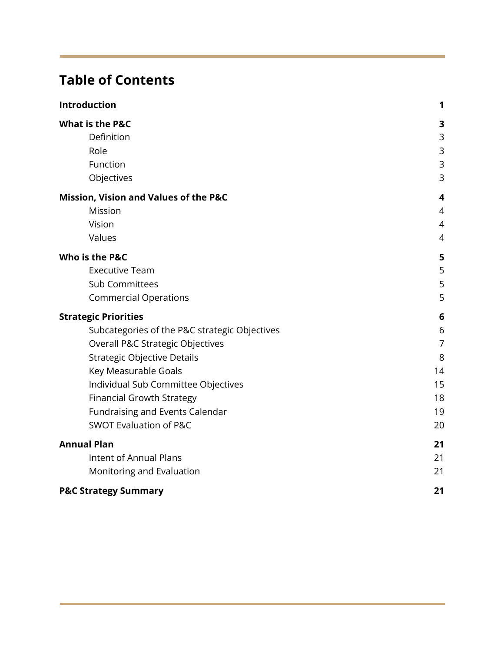# **Table of Contents**

| Introduction                                  | 1              |
|-----------------------------------------------|----------------|
| <b>What is the P&amp;C</b>                    | 3              |
| Definition                                    | 3              |
| Role                                          | 3              |
| Function                                      | 3              |
| Objectives                                    | 3              |
| Mission, Vision and Values of the P&C         | 4              |
| Mission                                       | 4              |
| Vision                                        | $\overline{4}$ |
| Values                                        | $\overline{4}$ |
| Who is the P&C                                | 5              |
| <b>Executive Team</b>                         | 5              |
| <b>Sub Committees</b>                         | 5              |
| <b>Commercial Operations</b>                  | 5              |
| <b>Strategic Priorities</b>                   | 6              |
| Subcategories of the P&C strategic Objectives | 6              |
| Overall P&C Strategic Objectives              | $\overline{7}$ |
| Strategic Objective Details                   | 8              |
| Key Measurable Goals                          | 14             |
| Individual Sub Committee Objectives           | 15             |
| <b>Financial Growth Strategy</b>              | 18             |
| Fundraising and Events Calendar               | 19             |
| <b>SWOT Evaluation of P&amp;C</b>             | 20             |
| <b>Annual Plan</b>                            | 21             |
| <b>Intent of Annual Plans</b>                 | 21             |
| Monitoring and Evaluation                     | 21             |
| <b>P&amp;C Strategy Summary</b>               | 21             |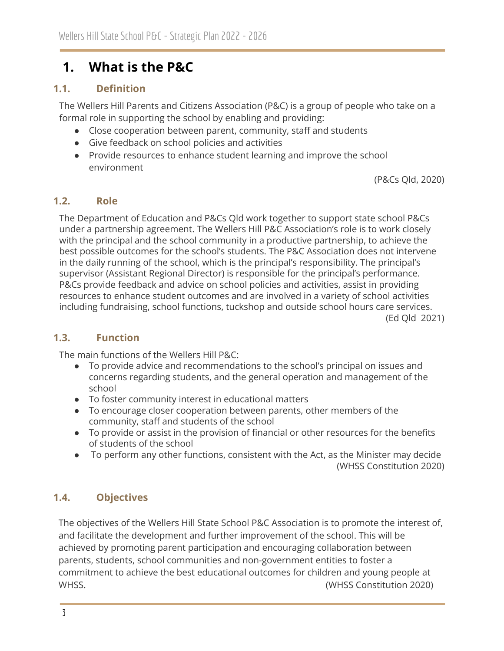# <span id="page-2-0"></span>**1. What is the P&C**

# <span id="page-2-1"></span>**1.1. Definition**

The Wellers Hill Parents and Citizens Association (P&C) is a group of people who take on a formal role in supporting the school by enabling and providing:

- Close cooperation between parent, community, staff and students
- Give feedback on school policies and activities
- Provide resources to enhance student learning and improve the school environment

(P&Cs Qld, 2020)

### <span id="page-2-2"></span>**1.2. Role**

The Department of Education and P&Cs Qld work together to support state school P&Cs under a partnership agreement. The Wellers Hill P&C Association's role is to work closely with the principal and the school community in a productive partnership, to achieve the best possible outcomes for the school's students. The P&C Association does not intervene in the daily running of the school, which is the principal's responsibility. The principal's supervisor (Assistant Regional Director) is responsible for the principal's performance. P&Cs provide feedback and advice on school policies and activities, assist in providing resources to enhance student outcomes and are involved in a variety of school activities including fundraising, school functions, tuckshop and outside school hours care services. (Ed Qld 2021)

### <span id="page-2-3"></span>**1.3. Function**

The main functions of the Wellers Hill P&C:

- To provide advice and recommendations to the school's principal on issues and concerns regarding students, and the general operation and management of the school
- To foster community interest in educational matters
- To encourage closer cooperation between parents, other members of the community, staff and students of the school
- To provide or assist in the provision of financial or other resources for the benefits of students of the school
- To perform any other functions, consistent with the Act, as the Minister may decide (WHSS Constitution 2020)

# <span id="page-2-4"></span>**1.4. Objectives**

The objectives of the Wellers Hill State School P&C Association is to promote the interest of, and facilitate the development and further improvement of the school. This will be achieved by promoting parent participation and encouraging collaboration between parents, students, school communities and non-government entities to foster a commitment to achieve the best educational outcomes for children and young people at WHSS. (WHSS Constitution 2020)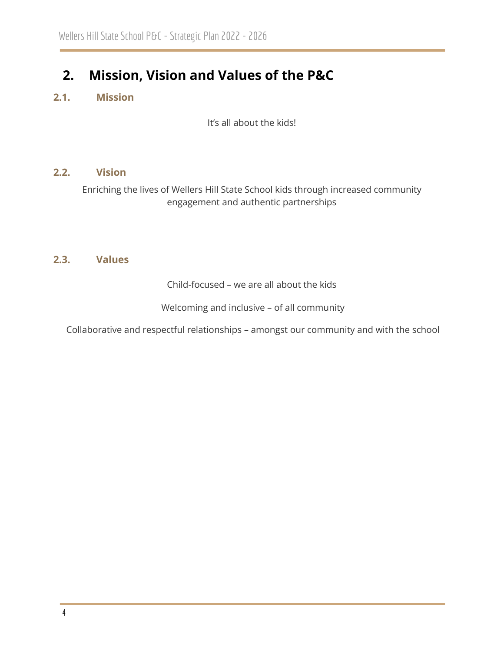# <span id="page-3-0"></span>**2. Mission, Vision and Values of the P&C**

# <span id="page-3-1"></span>**2.1. Mission**

It's all about the kids!

#### <span id="page-3-2"></span>**2.2. Vision**

Enriching the lives of Wellers Hill State School kids through increased community engagement and authentic partnerships

### <span id="page-3-3"></span>**2.3. Values**

Child-focused – we are all about the kids

Welcoming and inclusive – of all community

Collaborative and respectful relationships – amongst our community and with the school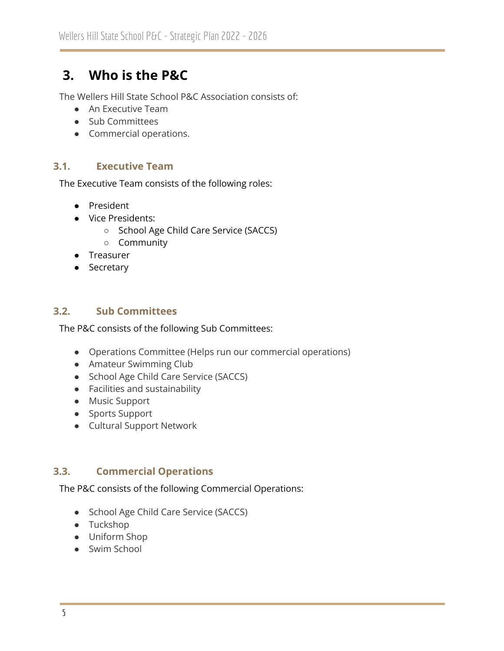# <span id="page-4-0"></span>**3. Who is the P&C**

The Wellers Hill State School P&C Association consists of:

- An Executive Team
- Sub Committees
- Commercial operations.

#### <span id="page-4-1"></span>**3.1. Executive Team**

The Executive Team consists of the following roles:

- President
- Vice Presidents:
	- School Age Child Care Service (SACCS)
	- Community
- Treasurer
- Secretary

#### <span id="page-4-2"></span>**3.2. Sub Committees**

The P&C consists of the following Sub Committees:

- Operations Committee (Helps run our commercial operations)
- Amateur Swimming Club
- School Age Child Care Service (SACCS)
- Facilities and sustainability
- Music Support
- Sports Support
- Cultural Support Network

### <span id="page-4-3"></span>**3.3. Commercial Operations**

The P&C consists of the following Commercial Operations:

- School Age Child Care Service (SACCS)
- Tuckshop
- Uniform Shop
- Swim School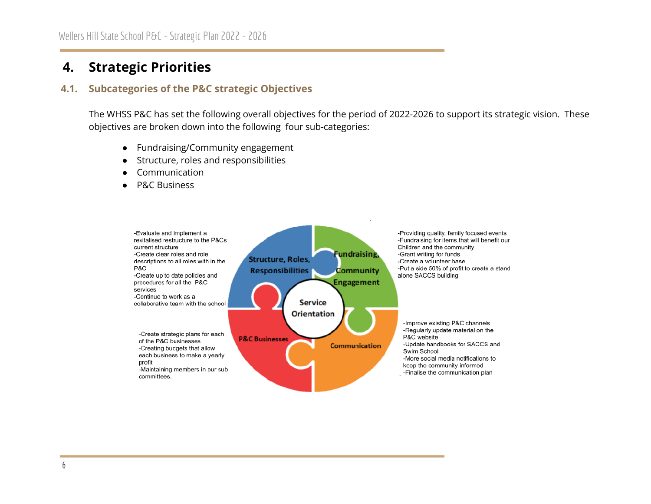# **4. Strategic Priorities**

#### **4.1. Subcategories of the P&C strategic Objectives**

The WHSS P&C has set the following overall objectives for the period of 2022-2026 to support its strategic vision. These objectives are broken down into the following four sub-categories:

- Fundraising/Community engagement
- Structure, roles and responsibilities
- Communication
- **P&C Business**

<span id="page-5-1"></span><span id="page-5-0"></span>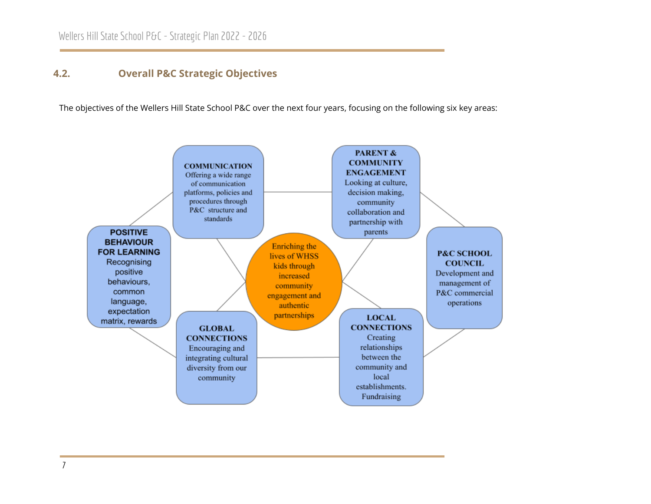### **4.2. Overall P&C Strategic Objectives**

The objectives of the Wellers Hill State School P&C over the next four years, focusing on the following six key areas:

<span id="page-6-0"></span>

7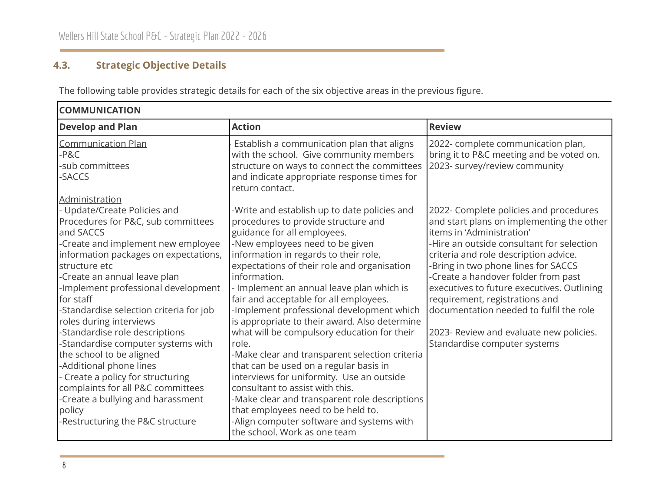# **4.3. Strategic Objective Details**

The following table provides strategic details for each of the six objective areas in the previous figure.

<span id="page-7-0"></span>

| <b>COMMUNICATION</b>                                                                                                                                                                                                                                                                                                                                                                                                                                                                                                                                                                                                                                    |                                                                                                                                                                                                                                                                                                                                                                                                                                                                                                                                                                                                                                                                                                                                                                                                                                                            |                                                                                                                                                                                                                                                                                                                                                                                                                                                                                            |  |  |
|---------------------------------------------------------------------------------------------------------------------------------------------------------------------------------------------------------------------------------------------------------------------------------------------------------------------------------------------------------------------------------------------------------------------------------------------------------------------------------------------------------------------------------------------------------------------------------------------------------------------------------------------------------|------------------------------------------------------------------------------------------------------------------------------------------------------------------------------------------------------------------------------------------------------------------------------------------------------------------------------------------------------------------------------------------------------------------------------------------------------------------------------------------------------------------------------------------------------------------------------------------------------------------------------------------------------------------------------------------------------------------------------------------------------------------------------------------------------------------------------------------------------------|--------------------------------------------------------------------------------------------------------------------------------------------------------------------------------------------------------------------------------------------------------------------------------------------------------------------------------------------------------------------------------------------------------------------------------------------------------------------------------------------|--|--|
| <b>Develop and Plan</b>                                                                                                                                                                                                                                                                                                                                                                                                                                                                                                                                                                                                                                 | <b>Action</b>                                                                                                                                                                                                                                                                                                                                                                                                                                                                                                                                                                                                                                                                                                                                                                                                                                              | <b>Review</b>                                                                                                                                                                                                                                                                                                                                                                                                                                                                              |  |  |
| <b>Communication Plan</b><br>-P&C<br>-sub committees<br>-SACCS                                                                                                                                                                                                                                                                                                                                                                                                                                                                                                                                                                                          | Establish a communication plan that aligns<br>with the school. Give community members<br>structure on ways to connect the committees<br>and indicate appropriate response times for<br>return contact.                                                                                                                                                                                                                                                                                                                                                                                                                                                                                                                                                                                                                                                     | 2022- complete communication plan,<br>bring it to P&C meeting and be voted on.<br>2023- survey/review community                                                                                                                                                                                                                                                                                                                                                                            |  |  |
| Administration<br>- Update/Create Policies and<br>Procedures for P&C, sub committees<br>and SACCS<br>-Create and implement new employee<br>information packages on expectations,<br>structure etc<br>-Create an annual leave plan<br>-Implement professional development<br>for staff<br>-Standardise selection criteria for job<br>roles during interviews<br>-Standardise role descriptions<br>-Standardise computer systems with<br>the school to be aligned<br>-Additional phone lines<br>- Create a policy for structuring<br>complaints for all P&C committees<br>-Create a bullying and harassment<br>policy<br>-Restructuring the P&C structure | -Write and establish up to date policies and<br>procedures to provide structure and<br>guidance for all employees.<br>-New employees need to be given<br>information in regards to their role,<br>expectations of their role and organisation<br>information.<br>- Implement an annual leave plan which is<br>fair and acceptable for all employees.<br>-Implement professional development which<br>is appropriate to their award. Also determine<br>what will be compulsory education for their<br>role.<br>-Make clear and transparent selection criteria<br>that can be used on a regular basis in<br>interviews for uniformity. Use an outside<br>consultant to assist with this.<br>-Make clear and transparent role descriptions<br>that employees need to be held to.<br>-Align computer software and systems with<br>the school. Work as one team | 2022- Complete policies and procedures<br>and start plans on implementing the other<br>items in 'Administration'<br>-Hire an outside consultant for selection<br>criteria and role description advice.<br>-Bring in two phone lines for SACCS<br>-Create a handover folder from past<br>executives to future executives. Outlining<br>requirement, registrations and<br>documentation needed to fulfil the role<br>2023- Review and evaluate new policies.<br>Standardise computer systems |  |  |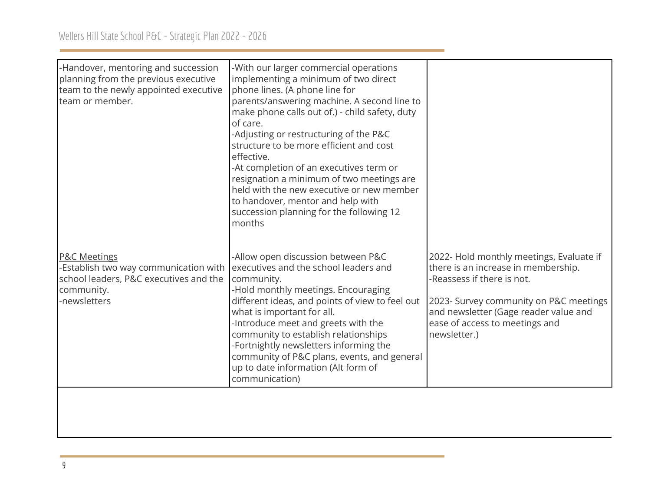| -Handover, mentoring and succession<br>-With our larger commercial operations<br>planning from the previous executive<br>implementing a minimum of two direct<br>team to the newly appointed executive<br>phone lines. (A phone line for<br>team or member.<br>parents/answering machine. A second line to<br>make phone calls out of.) - child safety, duty<br>of care.<br>-Adjusting or restructuring of the P&C<br>structure to be more efficient and cost<br>effective.<br>-At completion of an executives term or                                                                                                                                                                                                                                                                                                                               |  |
|------------------------------------------------------------------------------------------------------------------------------------------------------------------------------------------------------------------------------------------------------------------------------------------------------------------------------------------------------------------------------------------------------------------------------------------------------------------------------------------------------------------------------------------------------------------------------------------------------------------------------------------------------------------------------------------------------------------------------------------------------------------------------------------------------------------------------------------------------|--|
| resignation a minimum of two meetings are<br>held with the new executive or new member<br>to handover, mentor and help with<br>succession planning for the following 12<br>months                                                                                                                                                                                                                                                                                                                                                                                                                                                                                                                                                                                                                                                                    |  |
| -Allow open discussion between P&C<br>2022- Hold monthly meetings, Evaluate if<br><b>P&amp;C Meetings</b><br>executives and the school leaders and<br>there is an increase in membership.<br>-Establish two way communication with<br>-Reassess if there is not.<br>school leaders, P&C executives and the<br>community.<br>-Hold monthly meetings. Encouraging<br>community.<br>different ideas, and points of view to feel out<br>-newsletters<br>2023- Survey community on P&C meetings<br>what is important for all.<br>and newsletter (Gage reader value and<br>-Introduce meet and greets with the<br>ease of access to meetings and<br>community to establish relationships<br>newsletter.)<br>-Fortnightly newsletters informing the<br>community of P&C plans, events, and general<br>up to date information (Alt form of<br>communication) |  |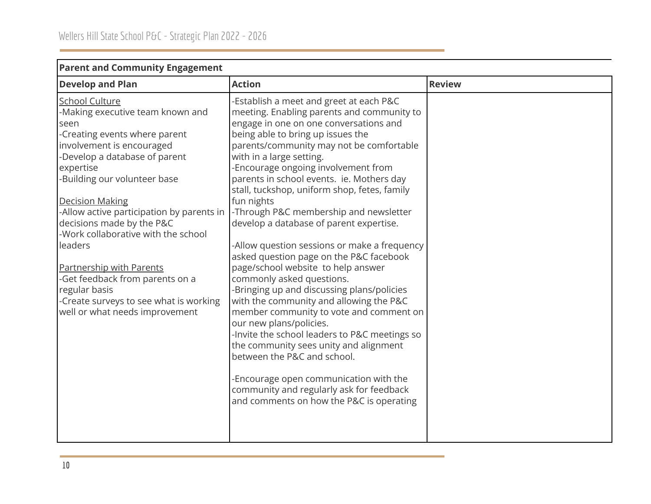| r arent and community Ligagement                                                                                                                                                                                                                                                                                                                                                                                                                                                                                                       |                                                                                                                                                                                                                                                                                                                                                                                                                                                                                                                                                                                                                                                                                                                                                                                                                                                                                                                                                                                                                                                                              |               |
|----------------------------------------------------------------------------------------------------------------------------------------------------------------------------------------------------------------------------------------------------------------------------------------------------------------------------------------------------------------------------------------------------------------------------------------------------------------------------------------------------------------------------------------|------------------------------------------------------------------------------------------------------------------------------------------------------------------------------------------------------------------------------------------------------------------------------------------------------------------------------------------------------------------------------------------------------------------------------------------------------------------------------------------------------------------------------------------------------------------------------------------------------------------------------------------------------------------------------------------------------------------------------------------------------------------------------------------------------------------------------------------------------------------------------------------------------------------------------------------------------------------------------------------------------------------------------------------------------------------------------|---------------|
| <b>Develop and Plan</b>                                                                                                                                                                                                                                                                                                                                                                                                                                                                                                                | <b>Action</b>                                                                                                                                                                                                                                                                                                                                                                                                                                                                                                                                                                                                                                                                                                                                                                                                                                                                                                                                                                                                                                                                | <b>Review</b> |
| <b>School Culture</b><br>-Making executive team known and<br>seen<br>-Creating events where parent<br>involvement is encouraged<br>-Develop a database of parent<br>expertise<br>-Building our volunteer base<br><b>Decision Making</b><br>-Allow active participation by parents in<br>decisions made by the P&C<br>-Work collaborative with the school<br>leaders<br><b>Partnership with Parents</b><br>-Get feedback from parents on a<br>regular basis<br>-Create surveys to see what is working<br>well or what needs improvement | -Establish a meet and greet at each P&C<br>meeting. Enabling parents and community to<br>engage in one on one conversations and<br>being able to bring up issues the<br>parents/community may not be comfortable<br>with in a large setting.<br>-Encourage ongoing involvement from<br>parents in school events. ie. Mothers day<br>stall, tuckshop, uniform shop, fetes, family<br>fun nights<br>-Through P&C membership and newsletter<br>develop a database of parent expertise.<br>-Allow question sessions or make a frequency<br>asked question page on the P&C facebook<br>page/school website to help answer<br>commonly asked questions.<br>-Bringing up and discussing plans/policies<br>with the community and allowing the P&C<br>member community to vote and comment on<br>our new plans/policies.<br>-Invite the school leaders to P&C meetings so<br>the community sees unity and alignment<br>between the P&C and school.<br>-Encourage open communication with the<br>community and regularly ask for feedback<br>and comments on how the P&C is operating |               |
|                                                                                                                                                                                                                                                                                                                                                                                                                                                                                                                                        |                                                                                                                                                                                                                                                                                                                                                                                                                                                                                                                                                                                                                                                                                                                                                                                                                                                                                                                                                                                                                                                                              |               |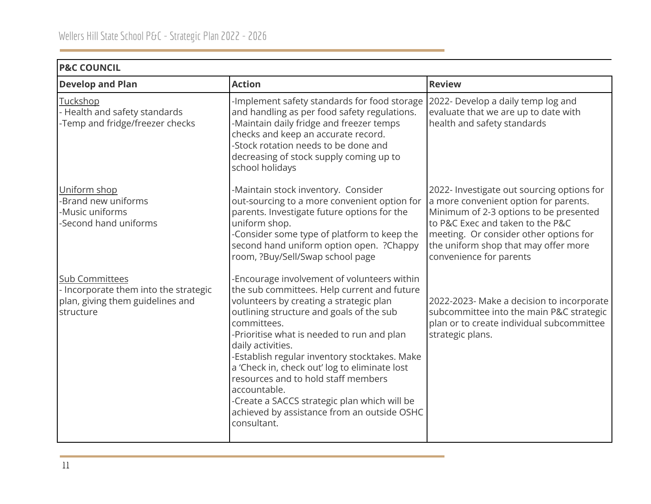# **P&C COUNCIL**

| <b>Develop and Plan</b>                                                                                         | <b>Action</b>                                                                                                                                                                                                                                                                                                                                                                                                                                                                                                                              | <b>Review</b>                                                                                                                                                                                                                                                                  |
|-----------------------------------------------------------------------------------------------------------------|--------------------------------------------------------------------------------------------------------------------------------------------------------------------------------------------------------------------------------------------------------------------------------------------------------------------------------------------------------------------------------------------------------------------------------------------------------------------------------------------------------------------------------------------|--------------------------------------------------------------------------------------------------------------------------------------------------------------------------------------------------------------------------------------------------------------------------------|
| Tuckshop<br>- Health and safety standards<br>-Temp and fridge/freezer checks                                    | -Implement safety standards for food storage<br>and handling as per food safety regulations.<br>-Maintain daily fridge and freezer temps<br>checks and keep an accurate record.<br>-Stock rotation needs to be done and<br>decreasing of stock supply coming up to<br>school holidays                                                                                                                                                                                                                                                      | 2022- Develop a daily temp log and<br>evaluate that we are up to date with<br>health and safety standards                                                                                                                                                                      |
| Uniform shop<br>-Brand new uniforms<br>-Music uniforms<br>-Second hand uniforms                                 | -Maintain stock inventory. Consider<br>out-sourcing to a more convenient option for<br>parents. Investigate future options for the<br>uniform shop.<br>-Consider some type of platform to keep the<br>second hand uniform option open. ? Chappy<br>room, ?Buy/Sell/Swap school page                                                                                                                                                                                                                                                        | 2022- Investigate out sourcing options for<br>a more convenient option for parents.<br>Minimum of 2-3 options to be presented<br>to P&C Exec and taken to the P&C<br>meeting. Or consider other options for<br>the uniform shop that may offer more<br>convenience for parents |
| <b>Sub Committees</b><br>- Incorporate them into the strategic<br>plan, giving them guidelines and<br>structure | -Encourage involvement of volunteers within<br>the sub committees. Help current and future<br>volunteers by creating a strategic plan<br>outlining structure and goals of the sub<br>committees.<br>-Prioritise what is needed to run and plan<br>daily activities.<br>-Establish regular inventory stocktakes. Make<br>a 'Check in, check out' log to eliminate lost<br>resources and to hold staff members<br>accountable.<br>-Create a SACCS strategic plan which will be<br>achieved by assistance from an outside OSHC<br>consultant. | 2022-2023- Make a decision to incorporate<br>subcommittee into the main P&C strategic<br>plan or to create individual subcommittee<br>strategic plans.                                                                                                                         |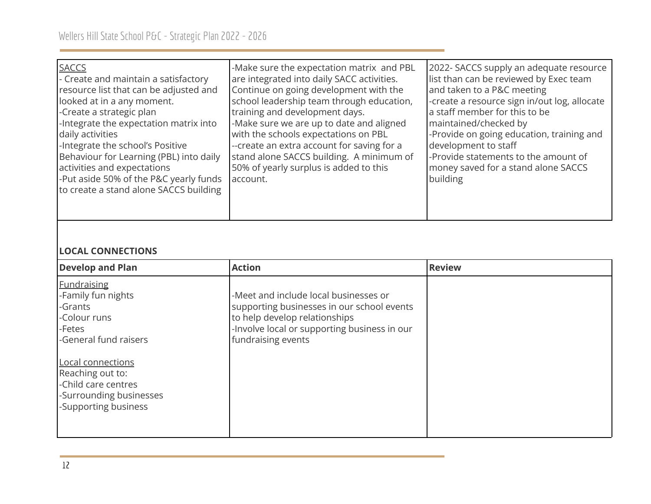| <b>SACCS</b><br>- Create and maintain a satisfactory<br>resource list that can be adjusted and<br>looked at in a any moment.<br>-Create a strategic plan<br>-Integrate the expectation matrix into<br>daily activities<br>-Integrate the school's Positive<br>Behaviour for Learning (PBL) into daily<br>activities and expectations<br>-Put aside 50% of the P&C yearly funds<br>to create a stand alone SACCS building | -Make sure the expectation matrix and PBL<br>are integrated into daily SACC activities.<br>Continue on going development with the<br>school leadership team through education,<br>training and development days.<br>-Make sure we are up to date and aligned<br>with the schools expectations on PBL<br>--create an extra account for saving for a<br>stand alone SACCS building. A minimum of<br>50% of yearly surplus is added to this<br>account. | 2022- SACCS supply an adequate resource<br>list than can be reviewed by Exec team<br>and taken to a P&C meeting<br>-create a resource sign in/out log, allocate<br>a staff member for this to be<br>maintained/checked by<br>-Provide on going education, training and<br>development to staff<br>-Provide statements to the amount of<br>money saved for a stand alone SACCS<br>building |
|--------------------------------------------------------------------------------------------------------------------------------------------------------------------------------------------------------------------------------------------------------------------------------------------------------------------------------------------------------------------------------------------------------------------------|------------------------------------------------------------------------------------------------------------------------------------------------------------------------------------------------------------------------------------------------------------------------------------------------------------------------------------------------------------------------------------------------------------------------------------------------------|-------------------------------------------------------------------------------------------------------------------------------------------------------------------------------------------------------------------------------------------------------------------------------------------------------------------------------------------------------------------------------------------|
|--------------------------------------------------------------------------------------------------------------------------------------------------------------------------------------------------------------------------------------------------------------------------------------------------------------------------------------------------------------------------------------------------------------------------|------------------------------------------------------------------------------------------------------------------------------------------------------------------------------------------------------------------------------------------------------------------------------------------------------------------------------------------------------------------------------------------------------------------------------------------------------|-------------------------------------------------------------------------------------------------------------------------------------------------------------------------------------------------------------------------------------------------------------------------------------------------------------------------------------------------------------------------------------------|

# **LOCAL CONNECTIONS**

| <b>Develop and Plan</b>                                                                                         | <b>Action</b>                                                                                                                                                                              | <b>Review</b> |
|-----------------------------------------------------------------------------------------------------------------|--------------------------------------------------------------------------------------------------------------------------------------------------------------------------------------------|---------------|
| <b>Fundraising</b><br>-Family fun nights<br>-Grants<br>-Colour runs<br>-Fetes<br>-General fund raisers          | -Meet and include local businesses or<br>supporting businesses in our school events<br>to help develop relationships<br>-Involve local or supporting business in our<br>fundraising events |               |
| Local connections<br>Reaching out to:<br>-Child care centres<br>-Surrounding businesses<br>-Supporting business |                                                                                                                                                                                            |               |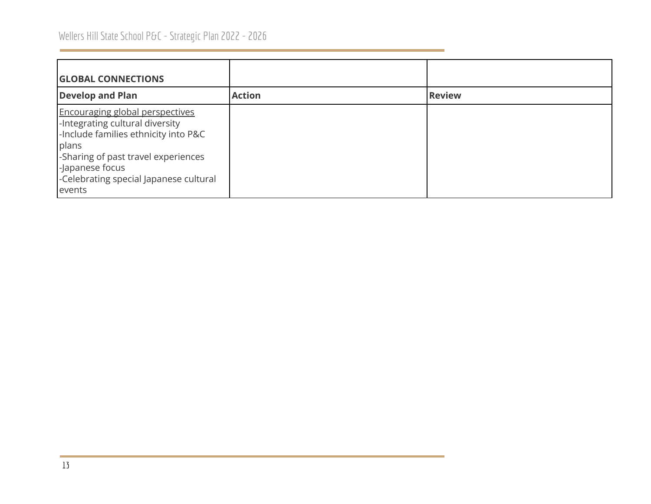| <b>GLOBAL CONNECTIONS</b>                                                                                                                                                                                                                |               |               |
|------------------------------------------------------------------------------------------------------------------------------------------------------------------------------------------------------------------------------------------|---------------|---------------|
| <b>Develop and Plan</b>                                                                                                                                                                                                                  | <b>Action</b> | <b>Review</b> |
| <b>Encouraging global perspectives</b><br>-Integrating cultural diversity<br>-Include families ethnicity into P&C<br>plans<br>-Sharing of past travel experiences<br>-Japanese focus<br>-Celebrating special Japanese cultural<br>events |               |               |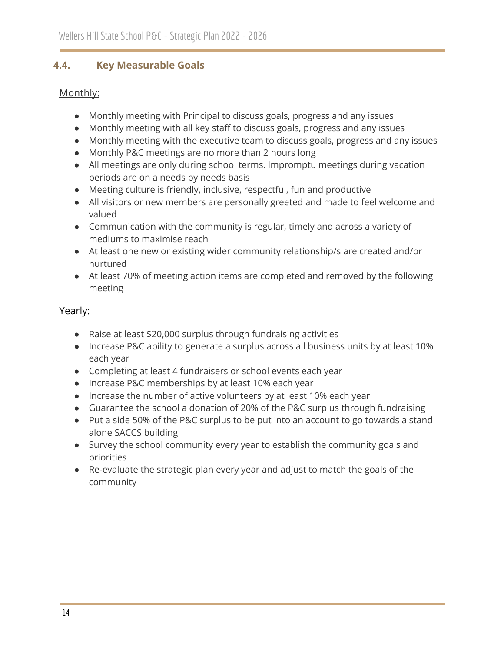## <span id="page-13-0"></span>**4.4. Key Measurable Goals**

## Monthly:

- Monthly meeting with Principal to discuss goals, progress and any issues
- Monthly meeting with all key staff to discuss goals, progress and any issues
- Monthly meeting with the executive team to discuss goals, progress and any issues
- Monthly P&C meetings are no more than 2 hours long
- All meetings are only during school terms. Impromptu meetings during vacation periods are on a needs by needs basis
- Meeting culture is friendly, inclusive, respectful, fun and productive
- All visitors or new members are personally greeted and made to feel welcome and valued
- Communication with the community is regular, timely and across a variety of mediums to maximise reach
- At least one new or existing wider community relationship/s are created and/or nurtured
- At least 70% of meeting action items are completed and removed by the following meeting

# Yearly:

- Raise at least \$20,000 surplus through fundraising activities
- Increase P&C ability to generate a surplus across all business units by at least 10% each year
- Completing at least 4 fundraisers or school events each year
- Increase P&C memberships by at least 10% each year
- Increase the number of active volunteers by at least 10% each year
- Guarantee the school a donation of 20% of the P&C surplus through fundraising
- Put a side 50% of the P&C surplus to be put into an account to go towards a stand alone SACCS building
- Survey the school community every year to establish the community goals and priorities
- Re-evaluate the strategic plan every year and adjust to match the goals of the community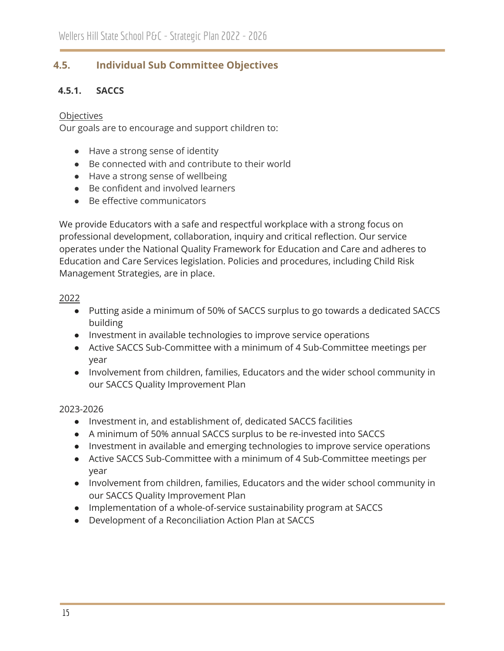# <span id="page-14-0"></span>**4.5. Individual Sub Committee Objectives**

## **4.5.1. SACCS**

#### **Objectives**

Our goals are to encourage and support children to:

- Have a strong sense of identity
- Be connected with and contribute to their world
- Have a strong sense of wellbeing
- Be confident and involved learners
- Be effective communicators

We provide Educators with a safe and respectful workplace with a strong focus on professional development, collaboration, inquiry and critical reflection. Our service operates under the National Quality Framework for Education and Care and adheres to Education and Care Services legislation. Policies and procedures, including Child Risk Management Strategies, are in place.

#### 2022

- Putting aside a minimum of 50% of SACCS surplus to go towards a dedicated SACCS building
- Investment in available technologies to improve service operations
- Active SACCS Sub-Committee with a minimum of 4 Sub-Committee meetings per year
- Involvement from children, families, Educators and the wider school community in our SACCS Quality Improvement Plan

#### 2023-2026

- Investment in, and establishment of, dedicated SACCS facilities
- A minimum of 50% annual SACCS surplus to be re-invested into SACCS
- Investment in available and emerging technologies to improve service operations
- Active SACCS Sub-Committee with a minimum of 4 Sub-Committee meetings per year
- Involvement from children, families, Educators and the wider school community in our SACCS Quality Improvement Plan
- Implementation of a whole-of-service sustainability program at SACCS
- Development of a Reconciliation Action Plan at SACCS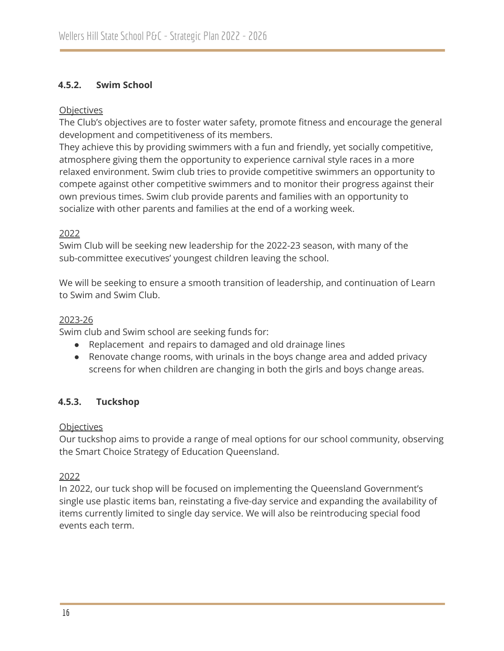#### **4.5.2. Swim School**

#### **Objectives**

The Club's objectives are to foster water safety, promote fitness and encourage the general development and competitiveness of its members.

They achieve this by providing swimmers with a fun and friendly, yet socially competitive, atmosphere giving them the opportunity to experience carnival style races in a more relaxed environment. Swim club tries to provide competitive swimmers an opportunity to compete against other competitive swimmers and to monitor their progress against their own previous times. Swim club provide parents and families with an opportunity to socialize with other parents and families at the end of a working week.

#### 2022

Swim Club will be seeking new leadership for the 2022-23 season, with many of the sub-committee executives' youngest children leaving the school.

We will be seeking to ensure a smooth transition of leadership, and continuation of Learn to Swim and Swim Club.

#### 2023-26

Swim club and Swim school are seeking funds for:

- Replacement and repairs to damaged and old drainage lines
- Renovate change rooms, with urinals in the boys change area and added privacy screens for when children are changing in both the girls and boys change areas.

### **4.5.3. Tuckshop**

#### **Objectives**

Our tuckshop aims to provide a range of meal options for our school community, observing the Smart Choice Strategy of Education Queensland.

#### 2022

In 2022, our tuck shop will be focused on implementing the Queensland Government's single use plastic items ban, reinstating a five-day service and expanding the availability of items currently limited to single day service. We will also be reintroducing special food events each term.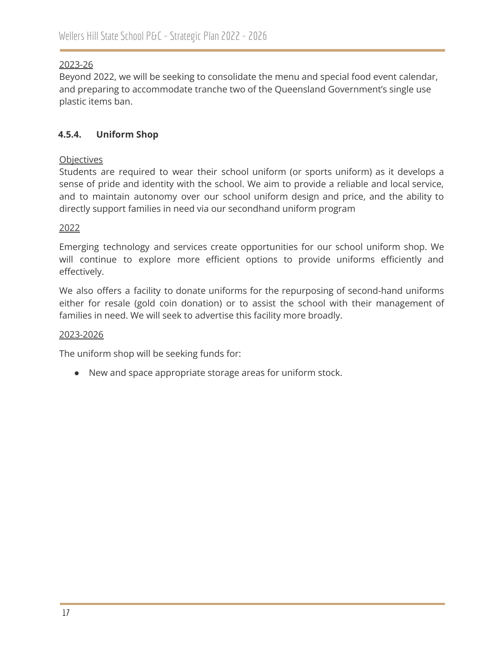#### 2023-26

Beyond 2022, we will be seeking to consolidate the menu and special food event calendar, and preparing to accommodate tranche two of the Queensland Government's single use plastic items ban.

### **4.5.4. Uniform Shop**

#### **Objectives**

Students are required to wear their school uniform (or sports uniform) as it develops a sense of pride and identity with the school. We aim to provide a reliable and local service, and to maintain autonomy over our school uniform design and price, and the ability to directly support families in need via our secondhand uniform program

#### 2022

Emerging technology and services create opportunities for our school uniform shop. We will continue to explore more efficient options to provide uniforms efficiently and effectively.

We also offers a facility to donate uniforms for the repurposing of second-hand uniforms either for resale (gold coin donation) or to assist the school with their management of families in need. We will seek to advertise this facility more broadly.

#### 2023-2026

The uniform shop will be seeking funds for:

● New and space appropriate storage areas for uniform stock.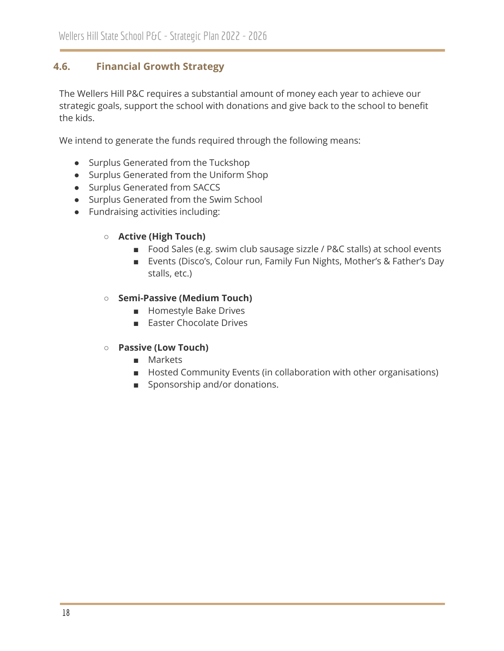# <span id="page-17-0"></span>**4.6. Financial Growth Strategy**

The Wellers Hill P&C requires a substantial amount of money each year to achieve our strategic goals, support the school with donations and give back to the school to benefit the kids.

We intend to generate the funds required through the following means:

- Surplus Generated from the Tuckshop
- Surplus Generated from the Uniform Shop
- Surplus Generated from SACCS
- Surplus Generated from the Swim School
- Fundraising activities including:
	- **○ Active (High Touch)**
		- Food Sales (e.g. swim club sausage sizzle / P&C stalls) at school events
		- Events (Disco's, Colour run, Family Fun Nights, Mother's & Father's Day stalls, etc.)

#### **○ Semi-Passive (Medium Touch)**

- Homestyle Bake Drives
- Easter Chocolate Drives
- **○ Passive (Low Touch)**
	- Markets
	- Hosted Community Events (in collaboration with other organisations)
	- Sponsorship and/or donations.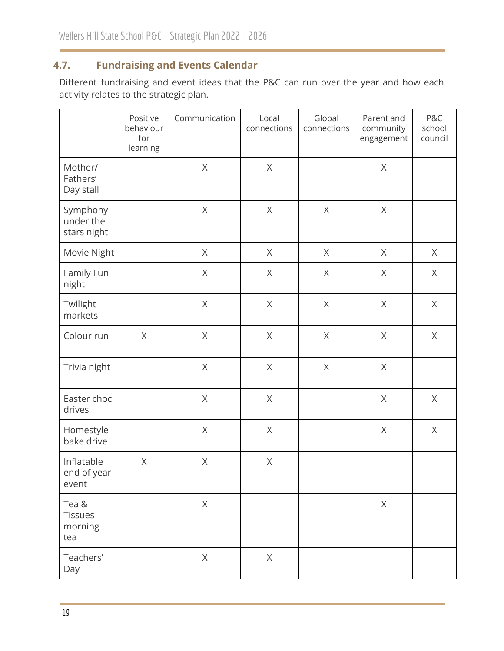# <span id="page-18-0"></span>**4.7. Fundraising and Events Calendar**

Different fundraising and event ideas that the P&C can run over the year and how each activity relates to the strategic plan.

|                                      | Positive<br>behaviour<br>for<br>learning | Communication | Local<br>connections | Global<br>connections | Parent and<br>community<br>engagement | P&C<br>school<br>council |
|--------------------------------------|------------------------------------------|---------------|----------------------|-----------------------|---------------------------------------|--------------------------|
| Mother/<br>Fathers'<br>Day stall     |                                          | $\mathsf X$   | $\mathsf X$          |                       | $\mathsf{X}% _{0}$                    |                          |
| Symphony<br>under the<br>stars night |                                          | $\mathsf X$   | $\mathsf X$          | $\mathsf X$           | X                                     |                          |
| Movie Night                          |                                          | X             | X                    | $\mathsf{X}% _{0}$    | X                                     | $\times$                 |
| Family Fun<br>night                  |                                          | $\mathsf X$   | X                    | $\mathsf{X}% _{0}$    | X                                     | X                        |
| Twilight<br>markets                  |                                          | $\mathsf X$   | $\times$             | $\mathsf X$           | $\times$                              | X                        |
| Colour run                           | $\mathsf X$                              | $\mathsf X$   | $\mathsf X$          | $\mathsf X$           | $\chi$                                | $\mathsf{X}% _{0}$       |
| Trivia night                         |                                          | $\mathsf X$   | $\mathsf X$          | $\mathsf X$           | $\mathsf{X}% _{0}$                    |                          |
| Easter choc<br>drives                |                                          | $\mathsf X$   | $\mathsf X$          |                       | X                                     | $\times$                 |
| Homestyle<br>bake drive              |                                          | $\mathsf X$   | $\mathsf{X}% _{0}$   |                       | $\mathsf X$                           | $\mathsf{X}% _{0}$       |
| Inflatable<br>end of year<br>event   | X                                        | $\mathsf X$   | $\mathsf X$          |                       |                                       |                          |
| Tea &<br>Tissues<br>morning<br>tea   |                                          | $\mathsf X$   |                      |                       | $\mathsf X$                           |                          |
| Teachers'<br>Day                     |                                          | $\mathsf X$   | $\chi$               |                       |                                       |                          |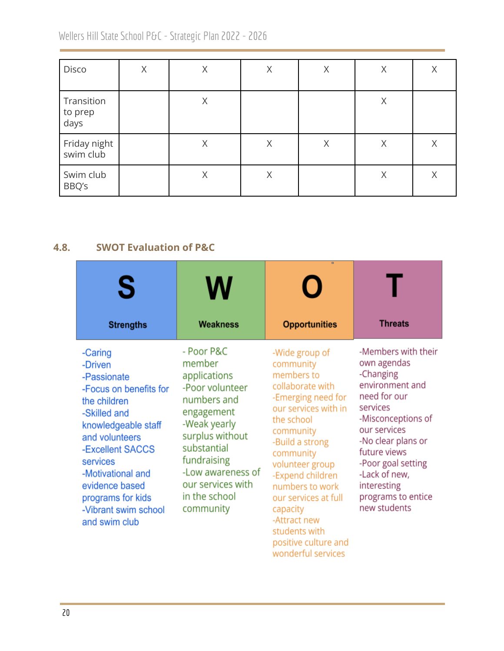Wellers Hill State School P&C - Strategic Plan 2022 - 2026

| Disco                         | Χ | X | Χ | Χ | Χ | Χ |
|-------------------------------|---|---|---|---|---|---|
| Transition<br>to prep<br>days |   | X |   |   | X |   |
| Friday night<br>swim club     |   | X | Χ | X | X | Χ |
| Swim club<br>BBQ's            |   | Χ | Χ |   | X | X |

# <span id="page-19-0"></span>**4.8. SWOT Evaluation of P&C**

| S<br><b>Strengths</b>                                                                                                                                                                                                                                                     | <b>Weakness</b>                                                                                                                                                                                                               | $\blacksquare$<br><b>Opportunities</b>                                                                                                                                                                                                                                                                                                              | <b>Threats</b>                                                                                                                                                                                                                                                         |
|---------------------------------------------------------------------------------------------------------------------------------------------------------------------------------------------------------------------------------------------------------------------------|-------------------------------------------------------------------------------------------------------------------------------------------------------------------------------------------------------------------------------|-----------------------------------------------------------------------------------------------------------------------------------------------------------------------------------------------------------------------------------------------------------------------------------------------------------------------------------------------------|------------------------------------------------------------------------------------------------------------------------------------------------------------------------------------------------------------------------------------------------------------------------|
| -Caring<br>-Driven<br>-Passionate<br>-Focus on benefits for<br>the children<br>-Skilled and<br>knowledgeable staff<br>and volunteers<br>-Excellent SACCS<br>services<br>-Motivational and<br>evidence based<br>programs for kids<br>-Vibrant swim school<br>and swim club | - Poor P&C<br>member<br>applications<br>-Poor volunteer<br>numbers and<br>engagement<br>-Weak yearly<br>surplus without<br>substantial<br>fundraising<br>-Low awareness of<br>our services with<br>in the school<br>community | -Wide group of<br>community<br>members to<br>collaborate with<br>-Emerging need for<br>our services with in<br>the school<br>community<br>-Build a strong<br>community<br>volunteer group<br>-Expend children<br>numbers to work<br>our services at full<br>capacity<br>-Attract new<br>students with<br>positive culture and<br>wonderful services | -Members with their<br>own agendas<br>-Changing<br>environment and<br>need for our<br>services<br>-Misconceptions of<br>our services<br>-No clear plans or<br>future views<br>-Poor goal setting<br>-Lack of new,<br>interesting<br>programs to entice<br>new students |